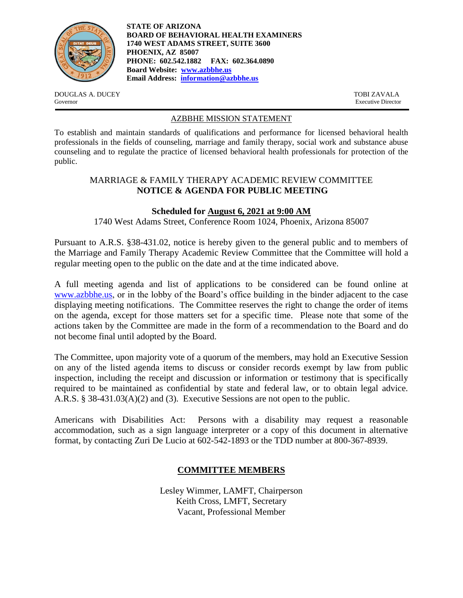

**STATE OF ARIZONA BOARD OF BEHAVIORAL HEALTH EXAMINERS 1740 WEST ADAMS STREET, SUITE 3600 PHOENIX, AZ 85007 PHONE: 602.542.1882 FAX: 602.364.0890 Board Website: [www.azbbhe.us](http://www.azbbhe.us/) Email Address: [information@azbbhe.us](mailto:information@azbbhe.us)**

DOUGLAS A. DUCEY TOBI ZAVALA Governor Executive Director

#### AZBBHE MISSION STATEMENT

To establish and maintain standards of qualifications and performance for licensed behavioral health professionals in the fields of counseling, marriage and family therapy, social work and substance abuse counseling and to regulate the practice of licensed behavioral health professionals for protection of the public.

# MARRIAGE & FAMILY THERAPY ACADEMIC REVIEW COMMITTEE **NOTICE & AGENDA FOR PUBLIC MEETING**

# **Scheduled for August 6, 2021 at 9:00 AM**

1740 West Adams Street, Conference Room 1024, Phoenix, Arizona 85007

Pursuant to A.R.S. §38-431.02, notice is hereby given to the general public and to members of the Marriage and Family Therapy Academic Review Committee that the Committee will hold a regular meeting open to the public on the date and at the time indicated above.

A full meeting agenda and list of applications to be considered can be found online at [www.azbbhe.us,](http://www.azbbhe.us/) or in the lobby of the Board's office building in the binder adjacent to the case displaying meeting notifications. The Committee reserves the right to change the order of items on the agenda, except for those matters set for a specific time. Please note that some of the actions taken by the Committee are made in the form of a recommendation to the Board and do not become final until adopted by the Board.

The Committee, upon majority vote of a quorum of the members, may hold an Executive Session on any of the listed agenda items to discuss or consider records exempt by law from public inspection, including the receipt and discussion or information or testimony that is specifically required to be maintained as confidential by state and federal law, or to obtain legal advice. A.R.S. § 38-431.03(A)(2) and (3). Executive Sessions are not open to the public.

Americans with Disabilities Act: Persons with a disability may request a reasonable accommodation, such as a sign language interpreter or a copy of this document in alternative format, by contacting Zuri De Lucio at 602-542-1893 or the TDD number at 800-367-8939.

# **COMMITTEE MEMBERS**

Lesley Wimmer, LAMFT, Chairperson Keith Cross, LMFT, Secretary Vacant, Professional Member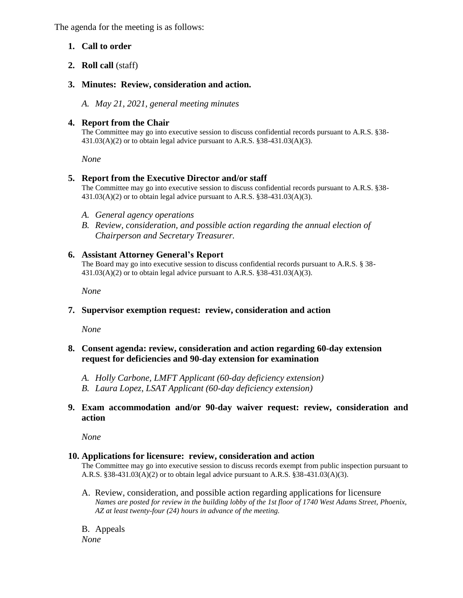The agenda for the meeting is as follows:

# **1. Call to order**

**2. Roll call** (staff)

# **3. Minutes: Review, consideration and action.**

*A. May 21, 2021, general meeting minutes*

#### **4. Report from the Chair**

The Committee may go into executive session to discuss confidential records pursuant to A.R.S. §38- 431.03(A)(2) or to obtain legal advice pursuant to A.R.S. §38-431.03(A)(3).

*None*

#### **5. Report from the Executive Director and/or staff**

The Committee may go into executive session to discuss confidential records pursuant to A.R.S. §38- 431.03(A)(2) or to obtain legal advice pursuant to A.R.S. §38-431.03(A)(3).

- *A. General agency operations*
- *B. Review, consideration, and possible action regarding the annual election of Chairperson and Secretary Treasurer.*

#### **6. Assistant Attorney General's Report**

The Board may go into executive session to discuss confidential records pursuant to A.R.S. § 38- 431.03(A)(2) or to obtain legal advice pursuant to A.R.S. §38-431.03(A)(3).

 *None*

# **7. Supervisor exemption request: review, consideration and action**

*None* 

# **8. Consent agenda: review, consideration and action regarding 60-day extension request for deficiencies and 90-day extension for examination**

- *A. Holly Carbone, LMFT Applicant (60-day deficiency extension)*
- *B. Laura Lopez, LSAT Applicant (60-day deficiency extension)*
- **9. Exam accommodation and/or 90-day waiver request: review, consideration and action**

*None* 

#### **10. Applications for licensure: review, consideration and action**

The Committee may go into executive session to discuss records exempt from public inspection pursuant to A.R.S. §38-431.03(A)(2) or to obtain legal advice pursuant to A.R.S. §38-431.03(A)(3).

A. Review, consideration, and possible action regarding applications for licensure *Names are posted for review in the building lobby of the 1st floor of 1740 West Adams Street, Phoenix, AZ at least twenty-four (24) hours in advance of the meeting.*

B. Appeals *None*